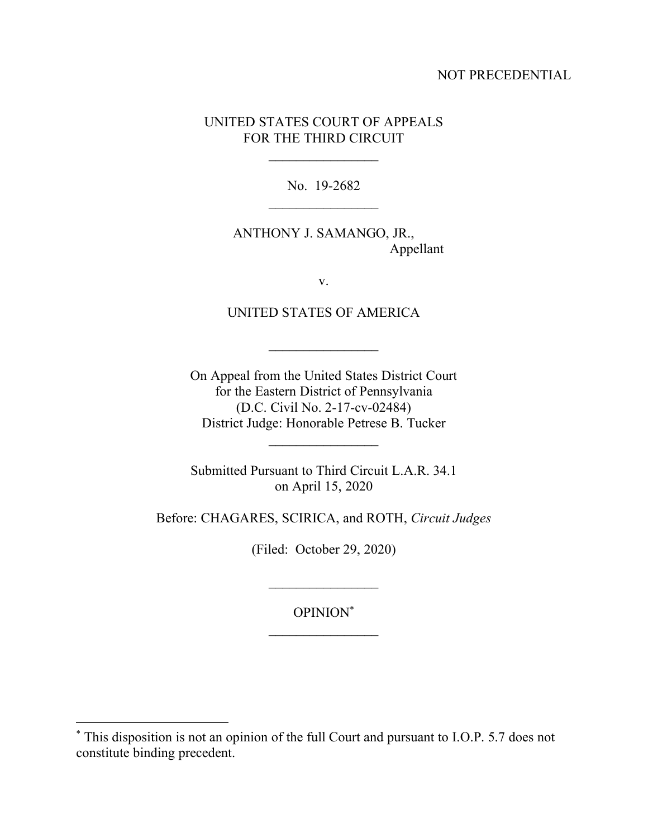## NOT PRECEDENTIAL

## UNITED STATES COURT OF APPEALS FOR THE THIRD CIRCUIT

No. 19-2682

ANTHONY J. SAMANGO, JR., Appellant

v.

UNITED STATES OF AMERICA

On Appeal from the United States District Court for the Eastern District of Pennsylvania (D.C. Civil No. 2-17-cv-02484) District Judge: Honorable Petrese B. Tucker

Submitted Pursuant to Third Circuit L.A.R. 34.1 on April 15, 2020

Before: CHAGARES, SCIRICA, and ROTH, *Circuit Judges*

(Filed: October 29, 2020)

 $\frac{1}{2}$ 

OPINION\*

<sup>\*</sup> This disposition is not an opinion of the full Court and pursuant to I.O.P. 5.7 does not constitute binding precedent.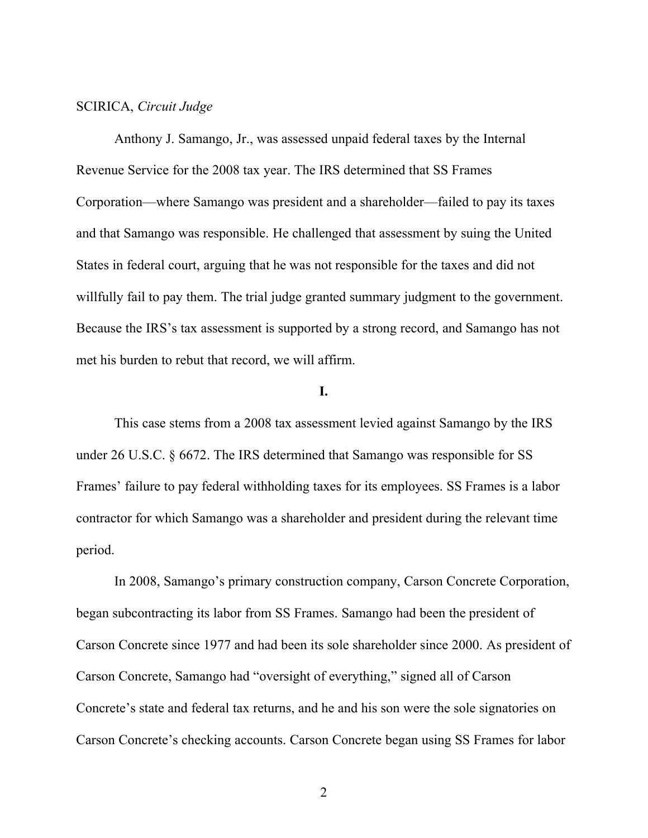#### SCIRICA, *Circuit Judge*

Anthony J. Samango, Jr., was assessed unpaid federal taxes by the Internal Revenue Service for the 2008 tax year. The IRS determined that SS Frames Corporation—where Samango was president and a shareholder—failed to pay its taxes and that Samango was responsible. He challenged that assessment by suing the United States in federal court, arguing that he was not responsible for the taxes and did not willfully fail to pay them. The trial judge granted summary judgment to the government. Because the IRS's tax assessment is supported by a strong record, and Samango has not met his burden to rebut that record, we will affirm.

## **I.**

This case stems from a 2008 tax assessment levied against Samango by the IRS under 26 U.S.C. § 6672. The IRS determined that Samango was responsible for SS Frames' failure to pay federal withholding taxes for its employees. SS Frames is a labor contractor for which Samango was a shareholder and president during the relevant time period.

In 2008, Samango's primary construction company, Carson Concrete Corporation, began subcontracting its labor from SS Frames. Samango had been the president of Carson Concrete since 1977 and had been its sole shareholder since 2000. As president of Carson Concrete, Samango had "oversight of everything," signed all of Carson Concrete's state and federal tax returns, and he and his son were the sole signatories on Carson Concrete's checking accounts. Carson Concrete began using SS Frames for labor

2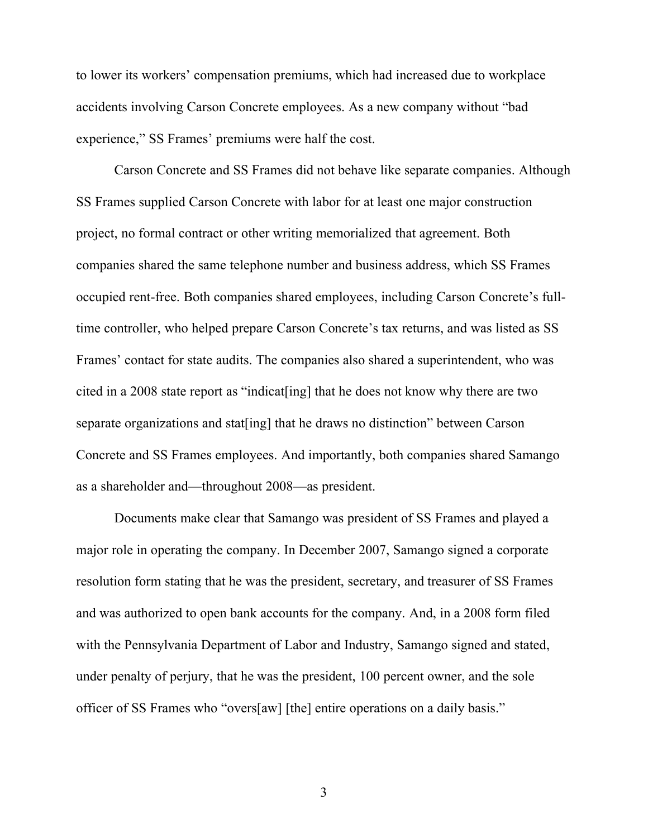to lower its workers' compensation premiums, which had increased due to workplace accidents involving Carson Concrete employees. As a new company without "bad experience," SS Frames' premiums were half the cost.

Carson Concrete and SS Frames did not behave like separate companies. Although SS Frames supplied Carson Concrete with labor for at least one major construction project, no formal contract or other writing memorialized that agreement. Both companies shared the same telephone number and business address, which SS Frames occupied rent-free. Both companies shared employees, including Carson Concrete's fulltime controller, who helped prepare Carson Concrete's tax returns, and was listed as SS Frames' contact for state audits. The companies also shared a superintendent, who was cited in a 2008 state report as "indicat[ing] that he does not know why there are two separate organizations and stat[ing] that he draws no distinction" between Carson Concrete and SS Frames employees. And importantly, both companies shared Samango as a shareholder and—throughout 2008—as president.

Documents make clear that Samango was president of SS Frames and played a major role in operating the company. In December 2007, Samango signed a corporate resolution form stating that he was the president, secretary, and treasurer of SS Frames and was authorized to open bank accounts for the company. And, in a 2008 form filed with the Pennsylvania Department of Labor and Industry, Samango signed and stated, under penalty of perjury, that he was the president, 100 percent owner, and the sole officer of SS Frames who "overs[aw] [the] entire operations on a daily basis."

3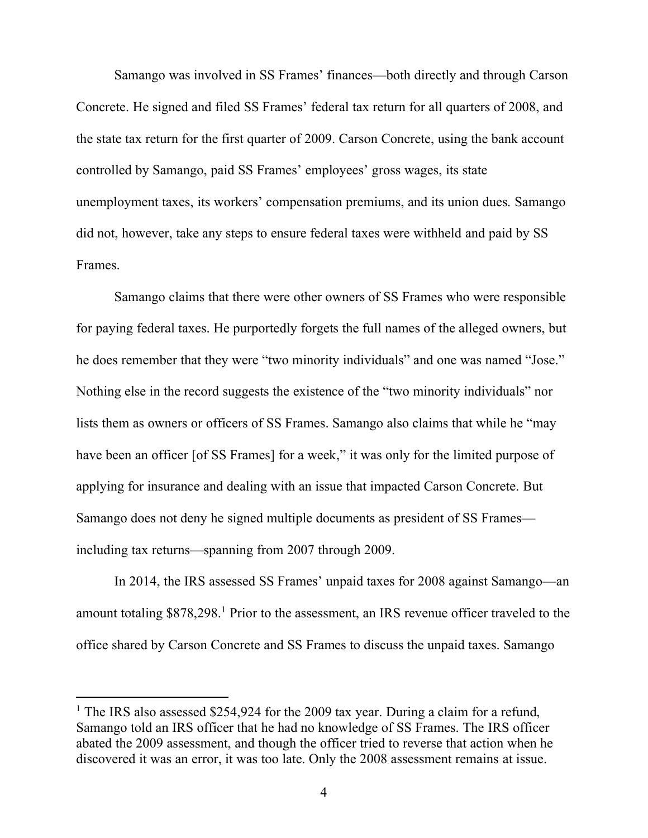Samango was involved in SS Frames' finances—both directly and through Carson Concrete. He signed and filed SS Frames' federal tax return for all quarters of 2008, and the state tax return for the first quarter of 2009. Carson Concrete, using the bank account controlled by Samango, paid SS Frames' employees' gross wages, its state unemployment taxes, its workers' compensation premiums, and its union dues. Samango did not, however, take any steps to ensure federal taxes were withheld and paid by SS Frames.

Samango claims that there were other owners of SS Frames who were responsible for paying federal taxes. He purportedly forgets the full names of the alleged owners, but he does remember that they were "two minority individuals" and one was named "Jose." Nothing else in the record suggests the existence of the "two minority individuals" nor lists them as owners or officers of SS Frames. Samango also claims that while he "may have been an officer [of SS Frames] for a week," it was only for the limited purpose of applying for insurance and dealing with an issue that impacted Carson Concrete. But Samango does not deny he signed multiple documents as president of SS Frames including tax returns—spanning from 2007 through 2009.

In 2014, the IRS assessed SS Frames' unpaid taxes for 2008 against Samango—an amount totaling \$878,298.<sup>1</sup> Prior to the assessment, an IRS revenue officer traveled to the office shared by Carson Concrete and SS Frames to discuss the unpaid taxes. Samango

<sup>&</sup>lt;sup>1</sup> The IRS also assessed \$254,924 for the 2009 tax year. During a claim for a refund, Samango told an IRS officer that he had no knowledge of SS Frames. The IRS officer abated the 2009 assessment, and though the officer tried to reverse that action when he discovered it was an error, it was too late. Only the 2008 assessment remains at issue.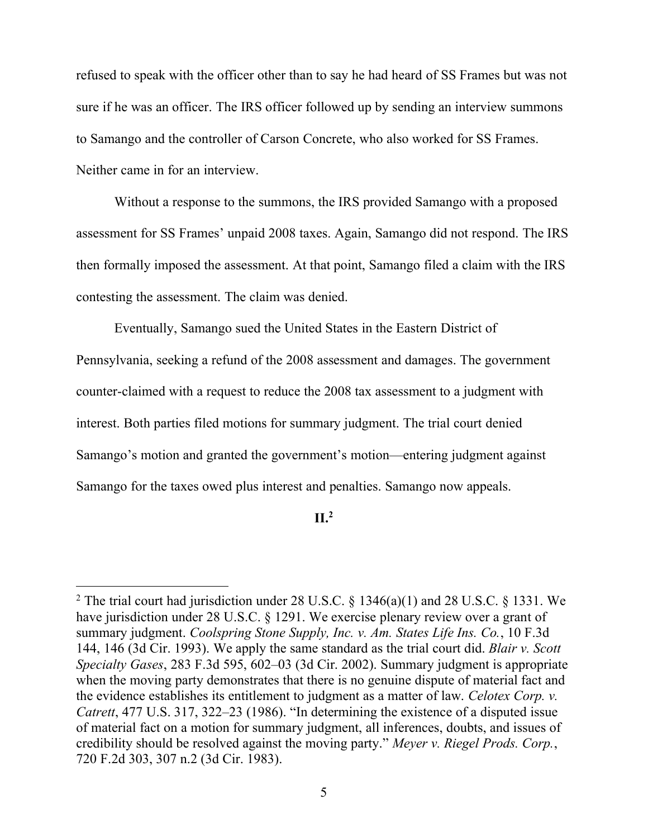refused to speak with the officer other than to say he had heard of SS Frames but was not sure if he was an officer. The IRS officer followed up by sending an interview summons to Samango and the controller of Carson Concrete, who also worked for SS Frames. Neither came in for an interview.

Without a response to the summons, the IRS provided Samango with a proposed assessment for SS Frames' unpaid 2008 taxes. Again, Samango did not respond. The IRS then formally imposed the assessment. At that point, Samango filed a claim with the IRS contesting the assessment. The claim was denied.

Eventually, Samango sued the United States in the Eastern District of Pennsylvania, seeking a refund of the 2008 assessment and damages. The government counter-claimed with a request to reduce the 2008 tax assessment to a judgment with interest. Both parties filed motions for summary judgment. The trial court denied Samango's motion and granted the government's motion—entering judgment against Samango for the taxes owed plus interest and penalties. Samango now appeals.

# **II.<sup>2</sup>**

<sup>&</sup>lt;sup>2</sup> The trial court had jurisdiction under 28 U.S.C. § 1346(a)(1) and 28 U.S.C. § 1331. We have jurisdiction under 28 U.S.C. § 1291. We exercise plenary review over a grant of summary judgment. *Coolspring Stone Supply, Inc. v. Am. States Life Ins. Co.*, 10 F.3d 144, 146 (3d Cir. 1993). We apply the same standard as the trial court did. *Blair v. Scott Specialty Gases*, 283 F.3d 595, 602–03 (3d Cir. 2002). Summary judgment is appropriate when the moving party demonstrates that there is no genuine dispute of material fact and the evidence establishes its entitlement to judgment as a matter of law. *Celotex Corp. v. Catrett*, 477 U.S. 317, 322–23 (1986). "In determining the existence of a disputed issue of material fact on a motion for summary judgment, all inferences, doubts, and issues of credibility should be resolved against the moving party." *Meyer v. Riegel Prods. Corp.*, 720 F.2d 303, 307 n.2 (3d Cir. 1983).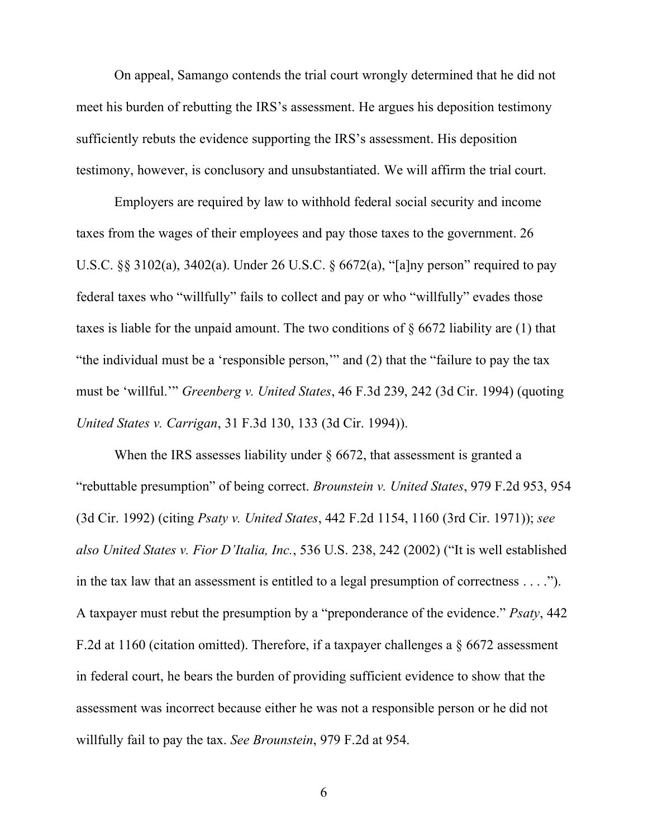On appeal, Samango contends the trial court wrongly determined that he did not meet his burden of rebutting the IRS's assessment. He argues his deposition testimony sufficiently rebuts the evidence supporting the IRS's assessment. His deposition testimony, however, is conclusory and unsubstantiated. We will affirm the trial court.

Employers are required by law to withhold federal social security and income taxes from the wages of their employees and pay those taxes to the government. 26 U.S.C. §§ 3102(a), 3402(a). Under 26 U.S.C. § 6672(a), "[a]ny person" required to pay federal taxes who "willfully" fails to collect and pay or who "willfully" evades those taxes is liable for the unpaid amount. The two conditions of § 6672 liability are (1) that "the individual must be a 'responsible person,'" and (2) that the "failure to pay the tax must be 'willful.'" *Greenberg v. United States*, 46 F.3d 239, 242 (3d Cir. 1994) (quoting *United States v. Carrigan*, 31 F.3d 130, 133 (3d Cir. 1994)).

When the IRS assesses liability under  $\S$  6672, that assessment is granted a "rebuttable presumption" of being correct. *Brounstein v. United States*, 979 F.2d 953, 954 (3d Cir. 1992) (citing *Psaty v. United States*, 442 F.2d 1154, 1160 (3rd Cir. 1971)); *see also United States v. Fior D'Italia, Inc.*, 536 U.S. 238, 242 (2002) ("It is well established in the tax law that an assessment is entitled to a legal presumption of correctness . . . ."). A taxpayer must rebut the presumption by a "preponderance of the evidence." *Psaty*, 442 F.2d at 1160 (citation omitted). Therefore, if a taxpayer challenges a § 6672 assessment in federal court, he bears the burden of providing sufficient evidence to show that the assessment was incorrect because either he was not a responsible person or he did not willfully fail to pay the tax. *See Brounstein*, 979 F.2d at 954.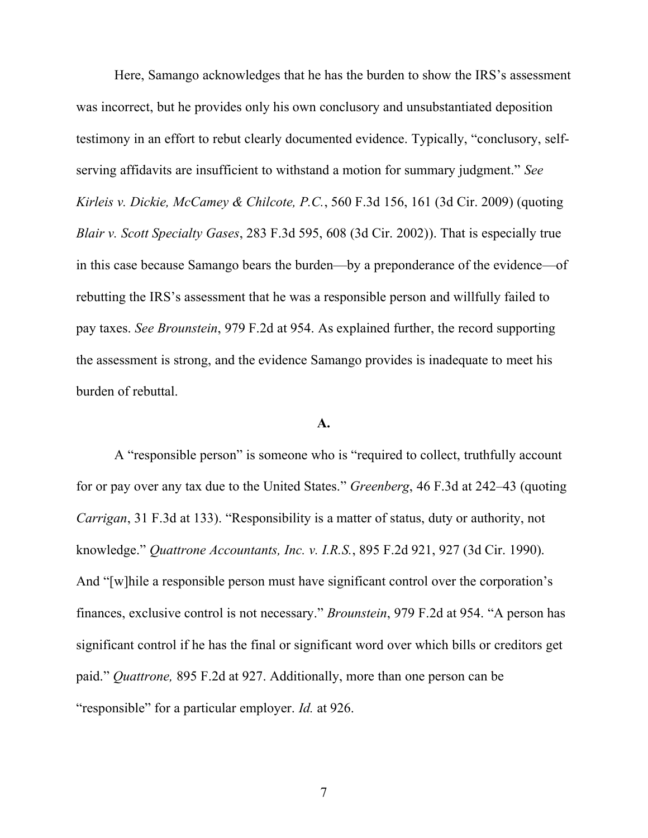Here, Samango acknowledges that he has the burden to show the IRS's assessment was incorrect, but he provides only his own conclusory and unsubstantiated deposition testimony in an effort to rebut clearly documented evidence. Typically, "conclusory, selfserving affidavits are insufficient to withstand a motion for summary judgment." *See Kirleis v. Dickie, McCamey & Chilcote, P.C.*, 560 F.3d 156, 161 (3d Cir. 2009) (quoting *Blair v. Scott Specialty Gases*, 283 F.3d 595, 608 (3d Cir. 2002)). That is especially true in this case because Samango bears the burden—by a preponderance of the evidence—of rebutting the IRS's assessment that he was a responsible person and willfully failed to pay taxes. *See Brounstein*, 979 F.2d at 954. As explained further, the record supporting the assessment is strong, and the evidence Samango provides is inadequate to meet his burden of rebuttal.

#### **A.**

A "responsible person" is someone who is "required to collect, truthfully account for or pay over any tax due to the United States." *Greenberg*, 46 F.3d at 242–43 (quoting *Carrigan*, 31 F.3d at 133). "Responsibility is a matter of status, duty or authority, not knowledge." *Quattrone Accountants, Inc. v. I.R.S.*, 895 F.2d 921, 927 (3d Cir. 1990). And "[w]hile a responsible person must have significant control over the corporation's finances, exclusive control is not necessary." *Brounstein*, 979 F.2d at 954. "A person has significant control if he has the final or significant word over which bills or creditors get paid." *Quattrone,* 895 F.2d at 927. Additionally, more than one person can be "responsible" for a particular employer. *Id.* at 926.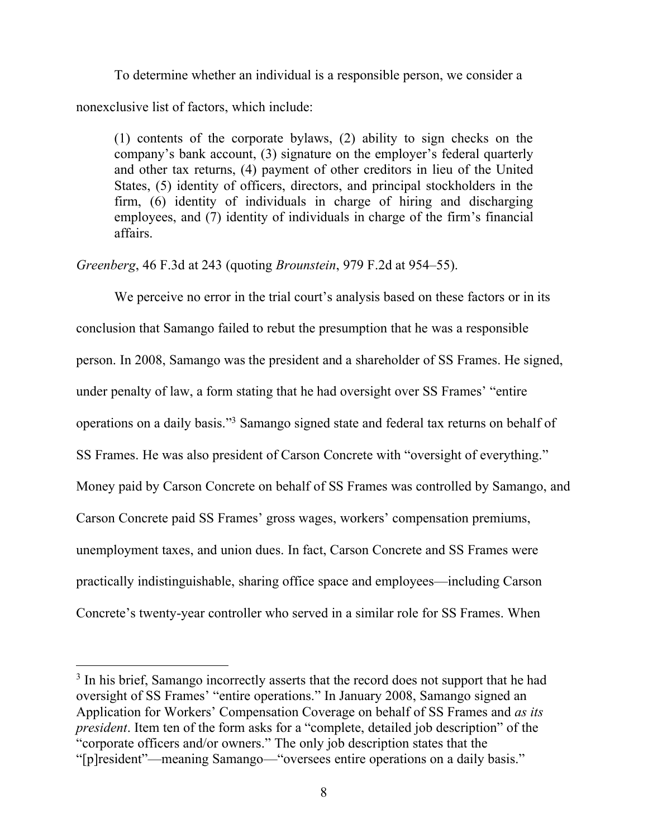To determine whether an individual is a responsible person, we consider a nonexclusive list of factors, which include:

(1) contents of the corporate bylaws, (2) ability to sign checks on the company's bank account, (3) signature on the employer's federal quarterly and other tax returns, (4) payment of other creditors in lieu of the United States, (5) identity of officers, directors, and principal stockholders in the firm, (6) identity of individuals in charge of hiring and discharging employees, and (7) identity of individuals in charge of the firm's financial affairs.

*Greenberg*, 46 F.3d at 243 (quoting *Brounstein*, 979 F.2d at 954–55).

We perceive no error in the trial court's analysis based on these factors or in its conclusion that Samango failed to rebut the presumption that he was a responsible person. In 2008, Samango was the president and a shareholder of SS Frames. He signed, under penalty of law, a form stating that he had oversight over SS Frames' "entire operations on a daily basis."<sup>3</sup> Samango signed state and federal tax returns on behalf of SS Frames. He was also president of Carson Concrete with "oversight of everything." Money paid by Carson Concrete on behalf of SS Frames was controlled by Samango, and Carson Concrete paid SS Frames' gross wages, workers' compensation premiums, unemployment taxes, and union dues. In fact, Carson Concrete and SS Frames were practically indistinguishable, sharing office space and employees—including Carson Concrete's twenty-year controller who served in a similar role for SS Frames. When

<sup>&</sup>lt;sup>3</sup> In his brief, Samango incorrectly asserts that the record does not support that he had oversight of SS Frames' "entire operations." In January 2008, Samango signed an Application for Workers' Compensation Coverage on behalf of SS Frames and *as its president*. Item ten of the form asks for a "complete, detailed job description" of the "corporate officers and/or owners." The only job description states that the "[p]resident"—meaning Samango—"oversees entire operations on a daily basis."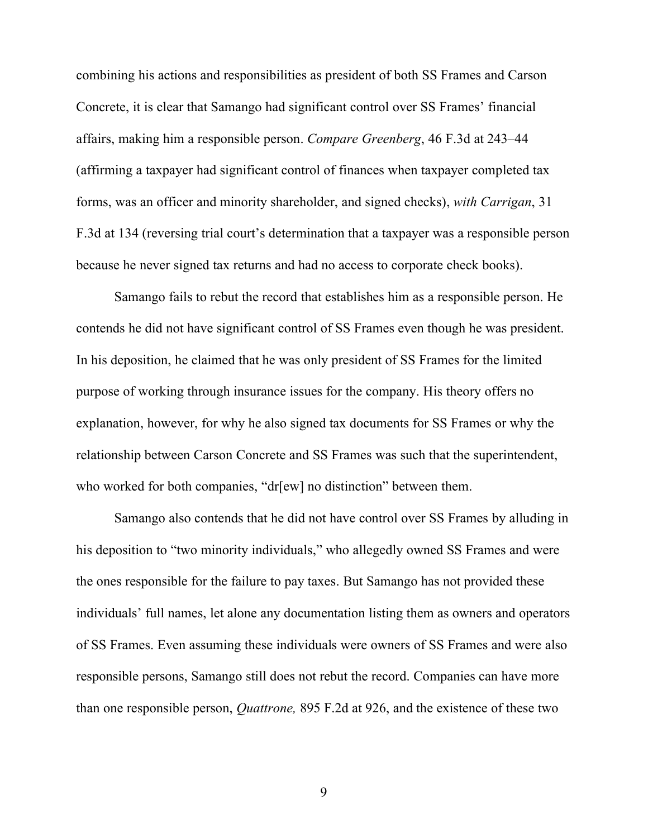combining his actions and responsibilities as president of both SS Frames and Carson Concrete, it is clear that Samango had significant control over SS Frames' financial affairs, making him a responsible person. *Compare Greenberg*, 46 F.3d at 243–44 (affirming a taxpayer had significant control of finances when taxpayer completed tax forms, was an officer and minority shareholder, and signed checks), *with Carrigan*, 31 F.3d at 134 (reversing trial court's determination that a taxpayer was a responsible person because he never signed tax returns and had no access to corporate check books).

Samango fails to rebut the record that establishes him as a responsible person. He contends he did not have significant control of SS Frames even though he was president. In his deposition, he claimed that he was only president of SS Frames for the limited purpose of working through insurance issues for the company. His theory offers no explanation, however, for why he also signed tax documents for SS Frames or why the relationship between Carson Concrete and SS Frames was such that the superintendent, who worked for both companies, "dr[ew] no distinction" between them.

Samango also contends that he did not have control over SS Frames by alluding in his deposition to "two minority individuals," who allegedly owned SS Frames and were the ones responsible for the failure to pay taxes. But Samango has not provided these individuals' full names, let alone any documentation listing them as owners and operators of SS Frames. Even assuming these individuals were owners of SS Frames and were also responsible persons, Samango still does not rebut the record. Companies can have more than one responsible person, *Quattrone,* 895 F.2d at 926, and the existence of these two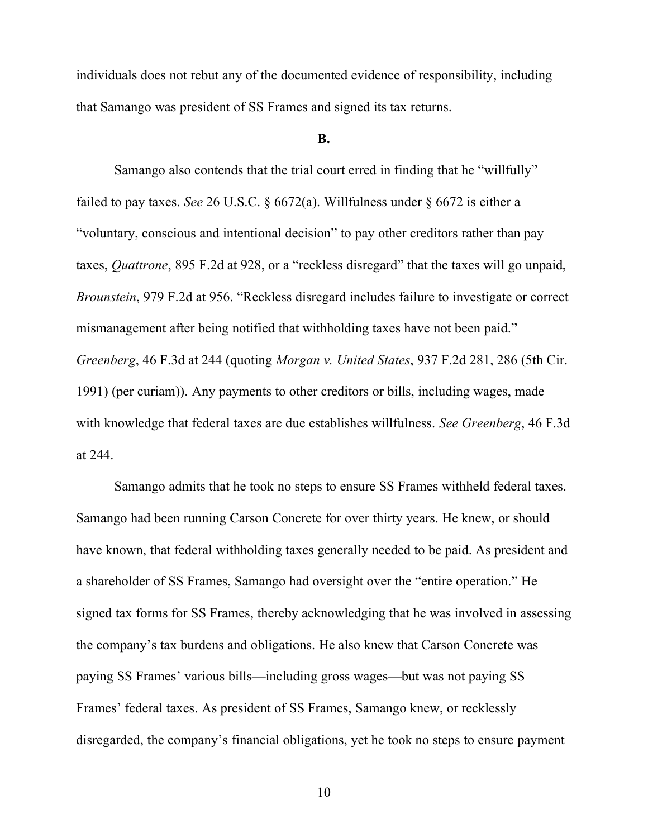individuals does not rebut any of the documented evidence of responsibility, including that Samango was president of SS Frames and signed its tax returns.

#### **B.**

Samango also contends that the trial court erred in finding that he "willfully" failed to pay taxes. *See* 26 U.S.C. § 6672(a). Willfulness under § 6672 is either a "voluntary, conscious and intentional decision" to pay other creditors rather than pay taxes, *Quattrone*, 895 F.2d at 928, or a "reckless disregard" that the taxes will go unpaid, *Brounstein*, 979 F.2d at 956. "Reckless disregard includes failure to investigate or correct mismanagement after being notified that withholding taxes have not been paid." *Greenberg*, 46 F.3d at 244 (quoting *Morgan v. United States*, 937 F.2d 281, 286 (5th Cir. 1991) (per curiam)). Any payments to other creditors or bills, including wages, made with knowledge that federal taxes are due establishes willfulness. *See Greenberg*, 46 F.3d at 244.

Samango admits that he took no steps to ensure SS Frames withheld federal taxes. Samango had been running Carson Concrete for over thirty years. He knew, or should have known, that federal withholding taxes generally needed to be paid. As president and a shareholder of SS Frames, Samango had oversight over the "entire operation." He signed tax forms for SS Frames, thereby acknowledging that he was involved in assessing the company's tax burdens and obligations. He also knew that Carson Concrete was paying SS Frames' various bills—including gross wages—but was not paying SS Frames' federal taxes. As president of SS Frames, Samango knew, or recklessly disregarded, the company's financial obligations, yet he took no steps to ensure payment

10